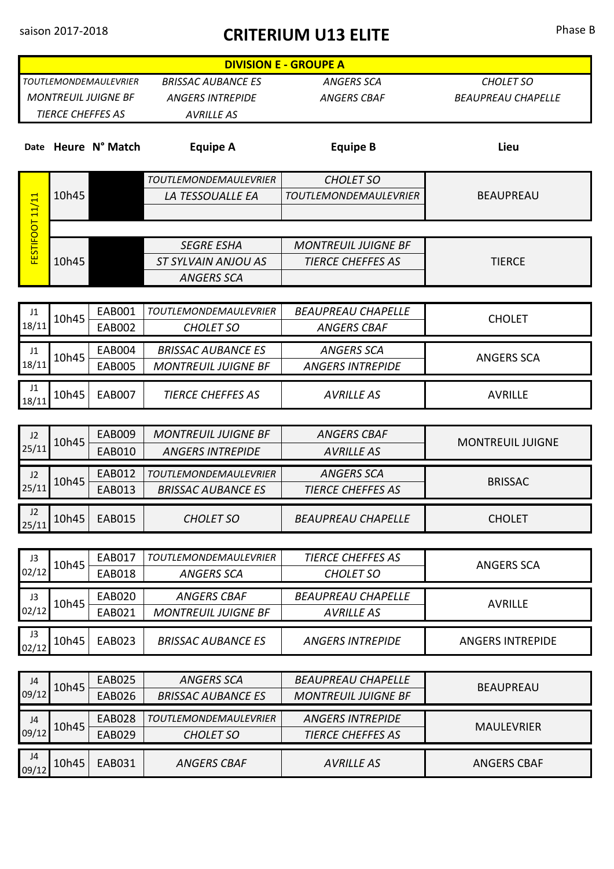## saison 2017-2018 **CRITERIUM U13 ELITE** Phase B

| <b>DIVISION E - GROUPE A</b> |       |                     |                                                  |                              |                           |  |
|------------------------------|-------|---------------------|--------------------------------------------------|------------------------------|---------------------------|--|
| <b>TOUTLEMONDEMAULEVRIER</b> |       |                     | <b>BRISSAC AUBANCE ES</b>                        | <b>ANGERS SCA</b>            | <b>CHOLET SO</b>          |  |
| <b>MONTREUIL JUIGNE BF</b>   |       |                     | <b>ANGERS INTREPIDE</b>                          | <b>ANGERS CBAF</b>           | <b>BEAUPREAU CHAPELLE</b> |  |
| <b>TIERCE CHEFFES AS</b>     |       |                     | <b>AVRILLE AS</b>                                |                              |                           |  |
|                              |       |                     |                                                  |                              |                           |  |
|                              |       | Date Heure N° Match | <b>Equipe A</b>                                  | <b>Equipe B</b>              | Lieu                      |  |
|                              |       |                     |                                                  |                              |                           |  |
|                              |       |                     | <b>TOUTLEMONDEMAULEVRIER</b>                     | <b>CHOLET SO</b>             | <b>BEAUPREAU</b>          |  |
|                              | 10h45 |                     | LA TESSOUALLE EA                                 | <b>TOUTLEMONDEMAULEVRIER</b> |                           |  |
| FESTIFOOT 11/11              |       |                     |                                                  |                              |                           |  |
|                              |       |                     | <b>SEGRE ESHA</b>                                | <b>MONTREUIL JUIGNE BF</b>   | <b>TIERCE</b>             |  |
|                              | 10h45 |                     | ST SYLVAIN ANJOU AS                              | <b>TIERCE CHEFFES AS</b>     |                           |  |
|                              |       |                     | <b>ANGERS SCA</b>                                |                              |                           |  |
|                              |       |                     |                                                  |                              |                           |  |
| J1                           | 10h45 | <b>EAB001</b>       | <b>TOUTLEMONDEMAULEVRIER</b>                     | <b>BEAUPREAU CHAPELLE</b>    |                           |  |
| 18/11                        |       | <b>EAB002</b>       | <b>CHOLET SO</b>                                 | <b>ANGERS CBAF</b>           | <b>CHOLET</b>             |  |
| J1                           |       | <b>EAB004</b>       | <b>BRISSAC AUBANCE ES</b>                        | <b>ANGERS SCA</b>            |                           |  |
| 18/11                        | 10h45 | <b>EAB005</b>       | <b>MONTREUIL JUIGNE BF</b>                       | <b>ANGERS INTREPIDE</b>      | <b>ANGERS SCA</b>         |  |
| J1                           |       |                     |                                                  |                              |                           |  |
| 18/11                        | 10h45 | <b>EAB007</b>       | <b>TIERCE CHEFFES AS</b>                         | <b>AVRILLE AS</b>            | <b>AVRILLE</b>            |  |
|                              |       |                     |                                                  |                              |                           |  |
| J2                           | 10h45 | <b>EAB009</b>       | <b>MONTREUIL JUIGNE BF</b>                       | <b>ANGERS CBAF</b>           | <b>MONTREUIL JUIGNE</b>   |  |
| 25/11                        |       | <b>EAB010</b>       | <b>ANGERS INTREPIDE</b>                          | <b>AVRILLE AS</b>            |                           |  |
| J2                           | 10h45 | <b>EAB012</b>       | <b>TOUTLEMONDEMAULEVRIER</b>                     | <b>ANGERS SCA</b>            | <b>BRISSAC</b>            |  |
| 25/11                        |       | <b>EAB013</b>       | <b>BRISSAC AUBANCE ES</b>                        | <b>TIERCE CHEFFES AS</b>     |                           |  |
| J2                           | 10h45 | <b>EAB015</b>       | <b>CHOLET SO</b>                                 | <b>BEAUPREAU CHAPELLE</b>    | <b>CHOLET</b>             |  |
| 25/11                        |       |                     |                                                  |                              |                           |  |
| J3                           | 10h45 | EAB017              | <b>TOUTLEMONDEMAULEVRIER</b>                     | TIERCE CHEFFES AS            |                           |  |
| 02/12                        |       | <b>EAB018</b>       | <b>ANGERS SCA</b>                                | <b>CHOLET SO</b>             | <b>ANGERS SCA</b>         |  |
|                              |       |                     |                                                  |                              |                           |  |
| J3<br>02/12                  | 10h45 | <b>EAB020</b>       | <b>ANGERS CBAF</b><br><b>MONTREUIL JUIGNE BF</b> | <b>BEAUPREAU CHAPELLE</b>    | <b>AVRILLE</b>            |  |
|                              |       | EAB021              |                                                  | <b>AVRILLE AS</b>            |                           |  |
| J3<br>02/12                  | 10h45 | <b>EAB023</b>       | <b>BRISSAC AUBANCE ES</b>                        | <b>ANGERS INTREPIDE</b>      | <b>ANGERS INTREPIDE</b>   |  |
|                              |       |                     |                                                  |                              |                           |  |
| J4                           | 10h45 | <b>EAB025</b>       | <b>ANGERS SCA</b>                                | <b>BEAUPREAU CHAPELLE</b>    | <b>BEAUPREAU</b>          |  |
| 09/12                        |       | <b>EAB026</b>       | <b>BRISSAC AUBANCE ES</b>                        | <b>MONTREUIL JUIGNE BF</b>   |                           |  |
| J4                           | 10h45 | <b>EAB028</b>       | <b>TOUTLEMONDEMAULEVRIER</b>                     | <b>ANGERS INTREPIDE</b>      | <b>MAULEVRIER</b>         |  |
| 09/12                        |       | EAB029              | <b>CHOLET SO</b>                                 | <b>TIERCE CHEFFES AS</b>     |                           |  |
| J4                           |       |                     |                                                  |                              |                           |  |
| 09/12                        | 10h45 | <b>EAB031</b>       | <b>ANGERS CBAF</b>                               | <b>AVRILLE AS</b>            | <b>ANGERS CBAF</b>        |  |
|                              |       |                     |                                                  |                              |                           |  |